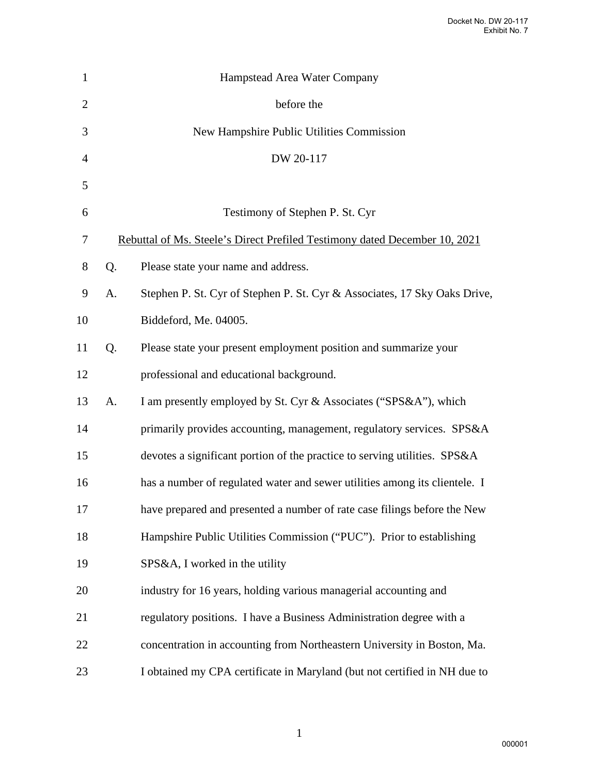| 1              |                                                                            | Hampstead Area Water Company                                               |
|----------------|----------------------------------------------------------------------------|----------------------------------------------------------------------------|
| $\overline{2}$ |                                                                            | before the                                                                 |
| 3              |                                                                            | New Hampshire Public Utilities Commission                                  |
| $\overline{4}$ |                                                                            | DW 20-117                                                                  |
| 5              |                                                                            |                                                                            |
| 6              |                                                                            | Testimony of Stephen P. St. Cyr                                            |
| 7              | Rebuttal of Ms. Steele's Direct Prefiled Testimony dated December 10, 2021 |                                                                            |
| $8\,$          | Q.                                                                         | Please state your name and address.                                        |
| 9              | A.                                                                         | Stephen P. St. Cyr of Stephen P. St. Cyr & Associates, 17 Sky Oaks Drive,  |
| 10             |                                                                            | Biddeford, Me. 04005.                                                      |
| 11             | Q.                                                                         | Please state your present employment position and summarize your           |
| 12             |                                                                            | professional and educational background.                                   |
| 13             | A.                                                                         | I am presently employed by St. Cyr & Associates ("SPS&A"), which           |
| 14             |                                                                            | primarily provides accounting, management, regulatory services. SPS&A      |
| 15             |                                                                            | devotes a significant portion of the practice to serving utilities. SPS&A  |
| 16             |                                                                            | has a number of regulated water and sewer utilities among its clientele. I |
| $17\,$         |                                                                            | have prepared and presented a number of rate case filings before the New   |
| 18             |                                                                            | Hampshire Public Utilities Commission ("PUC"). Prior to establishing       |
| 19             |                                                                            | SPS&A, I worked in the utility                                             |
| 20             |                                                                            | industry for 16 years, holding various managerial accounting and           |
| 21             |                                                                            | regulatory positions. I have a Business Administration degree with a       |
| 22             |                                                                            | concentration in accounting from Northeastern University in Boston, Ma.    |
| 23             |                                                                            | I obtained my CPA certificate in Maryland (but not certified in NH due to  |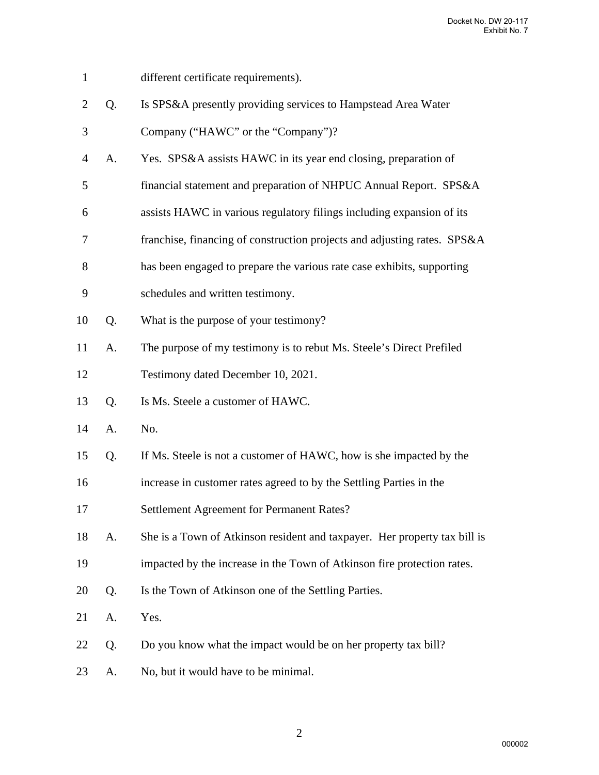- 1 different certificate requirements).
- 2 Q. Is SPS&A presently providing services to Hampstead Area Water
- 3 Company ("HAWC" or the "Company")?
- 4 A. Yes. SPS&A assists HAWC in its year end closing, preparation of
- 5 financial statement and preparation of NHPUC Annual Report. SPS&A
- 6 assists HAWC in various regulatory filings including expansion of its
- 7 franchise, financing of construction projects and adjusting rates. SPS&A
- 8 has been engaged to prepare the various rate case exhibits, supporting
- 9 schedules and written testimony.
- 10 Q. What is the purpose of your testimony?
- 11 A. The purpose of my testimony is to rebut Ms. Steele's Direct Prefiled
- 12 Testimony dated December 10, 2021.
- 13 Q. Is Ms. Steele a customer of HAWC.
- 14 A. No.
- 15 Q. If Ms. Steele is not a customer of HAWC, how is she impacted by the
- 16 increase in customer rates agreed to by the Settling Parties in the
- 17 Settlement Agreement for Permanent Rates?
- 18 A. She is a Town of Atkinson resident and taxpayer. Her property tax bill is
- 19 impacted by the increase in the Town of Atkinson fire protection rates.
- 20 Q. Is the Town of Atkinson one of the Settling Parties.
- 21 A. Yes.
- 22 Q. Do you know what the impact would be on her property tax bill?
- 23 A. No, but it would have to be minimal.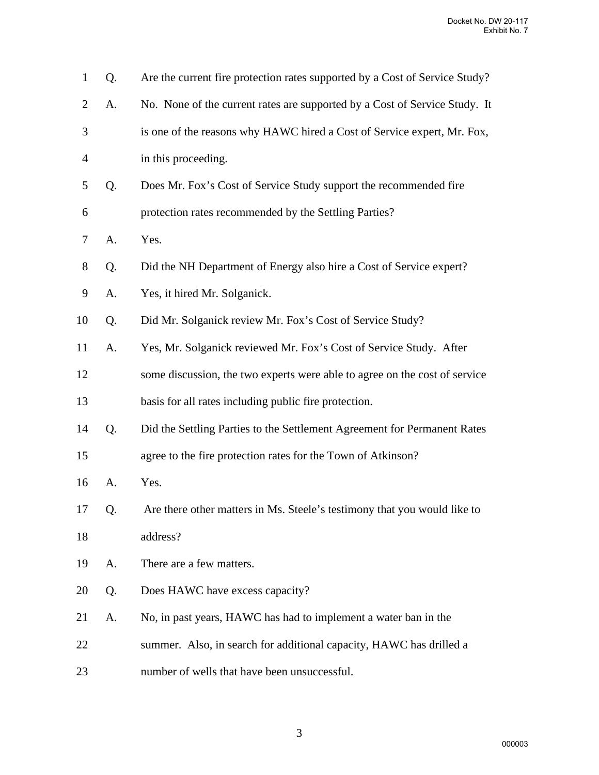| $\mathbf{1}$   | Q. | Are the current fire protection rates supported by a Cost of Service Study? |
|----------------|----|-----------------------------------------------------------------------------|
| $\overline{2}$ | A. | No. None of the current rates are supported by a Cost of Service Study. It  |
| 3              |    | is one of the reasons why HAWC hired a Cost of Service expert, Mr. Fox,     |
| $\overline{4}$ |    | in this proceeding.                                                         |
| 5              | Q. | Does Mr. Fox's Cost of Service Study support the recommended fire           |
| 6              |    | protection rates recommended by the Settling Parties?                       |
| 7              | A. | Yes.                                                                        |
| 8              | Q. | Did the NH Department of Energy also hire a Cost of Service expert?         |
| 9              | A. | Yes, it hired Mr. Solganick.                                                |
| 10             | Q. | Did Mr. Solganick review Mr. Fox's Cost of Service Study?                   |
| 11             | A. | Yes, Mr. Solganick reviewed Mr. Fox's Cost of Service Study. After          |
| 12             |    | some discussion, the two experts were able to agree on the cost of service  |
| 13             |    | basis for all rates including public fire protection.                       |
| 14             | Q. | Did the Settling Parties to the Settlement Agreement for Permanent Rates    |
| 15             |    | agree to the fire protection rates for the Town of Atkinson?                |
| 16             | A. | Yes.                                                                        |
| 17             | Q. | Are there other matters in Ms. Steele's testimony that you would like to    |
| 18             |    | address?                                                                    |
| 19             | A. | There are a few matters.                                                    |
| 20             | Q. | Does HAWC have excess capacity?                                             |
| 21             | A. | No, in past years, HAWC has had to implement a water ban in the             |
| 22             |    | summer. Also, in search for additional capacity, HAWC has drilled a         |
| 23             |    | number of wells that have been unsuccessful.                                |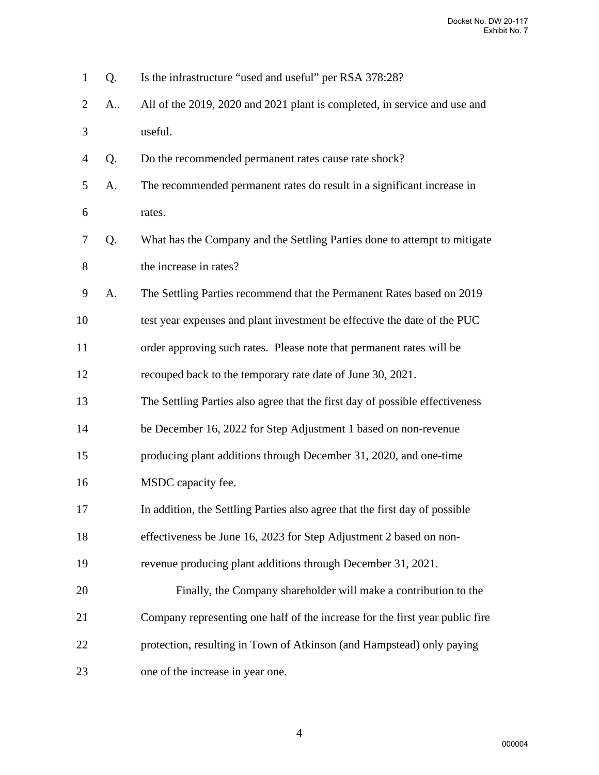| $\mathbf{1}$   | Q. | Is the infrastructure "used and useful" per RSA 378:28?                      |
|----------------|----|------------------------------------------------------------------------------|
| $\overline{2}$ | A  | All of the 2019, 2020 and 2021 plant is completed, in service and use and    |
| 3              |    | useful.                                                                      |
| $\overline{4}$ | Q. | Do the recommended permanent rates cause rate shock?                         |
| 5              | A. | The recommended permanent rates do result in a significant increase in       |
| 6              |    | rates.                                                                       |
| 7              | Q. | What has the Company and the Settling Parties done to attempt to mitigate    |
| 8              |    | the increase in rates?                                                       |
| 9              | A. | The Settling Parties recommend that the Permanent Rates based on 2019        |
| 10             |    | test year expenses and plant investment be effective the date of the PUC     |
| 11             |    | order approving such rates. Please note that permanent rates will be         |
| 12             |    | recouped back to the temporary rate date of June 30, 2021.                   |
| 13             |    | The Settling Parties also agree that the first day of possible effectiveness |
| 14             |    | be December 16, 2022 for Step Adjustment 1 based on non-revenue              |
| 15             |    | producing plant additions through December 31, 2020, and one-time            |
| 16             |    | MSDC capacity fee.                                                           |
| 17             |    | In addition, the Settling Parties also agree that the first day of possible  |
| 18             |    | effectiveness be June 16, 2023 for Step Adjustment 2 based on non-           |
| 19             |    | revenue producing plant additions through December 31, 2021.                 |
| 20             |    | Finally, the Company shareholder will make a contribution to the             |
| 21             |    | Company representing one half of the increase for the first year public fire |
| 22             |    | protection, resulting in Town of Atkinson (and Hampstead) only paying        |
| 23             |    | one of the increase in year one.                                             |

4